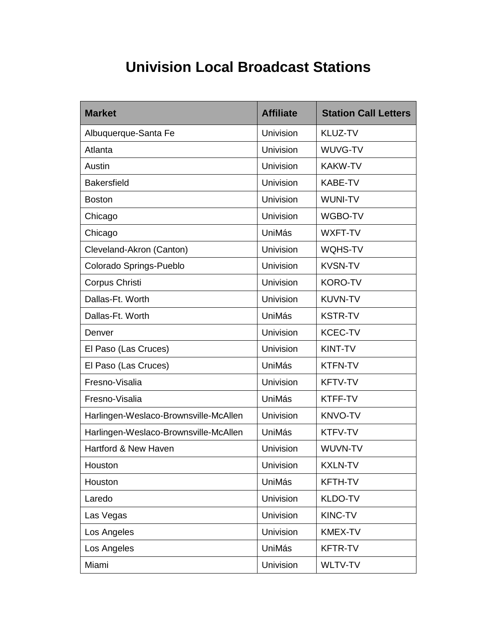## **Univision Local Broadcast Stations**

| <b>Market</b>                         | <b>Affiliate</b> | <b>Station Call Letters</b> |
|---------------------------------------|------------------|-----------------------------|
| Albuquerque-Santa Fe                  | Univision        | <b>KLUZ-TV</b>              |
| Atlanta                               | Univision        | WUVG-TV                     |
| Austin                                | Univision        | <b>KAKW-TV</b>              |
| <b>Bakersfield</b>                    | Univision        | <b>KABE-TV</b>              |
| <b>Boston</b>                         | Univision        | <b>WUNI-TV</b>              |
| Chicago                               | Univision        | WGBO-TV                     |
| Chicago                               | UniMás           | WXFT-TV                     |
| Cleveland-Akron (Canton)              | Univision        | <b>WQHS-TV</b>              |
| Colorado Springs-Pueblo               | Univision        | <b>KVSN-TV</b>              |
| Corpus Christi                        | Univision        | <b>KORO-TV</b>              |
| Dallas-Ft. Worth                      | Univision        | <b>KUVN-TV</b>              |
| Dallas-Ft. Worth                      | UniMás           | <b>KSTR-TV</b>              |
| Denver                                | Univision        | <b>KCEC-TV</b>              |
| El Paso (Las Cruces)                  | Univision        | KINT-TV                     |
| El Paso (Las Cruces)                  | <b>UniMás</b>    | <b>KTFN-TV</b>              |
| Fresno-Visalia                        | Univision        | <b>KFTV-TV</b>              |
| Fresno-Visalia                        | UniMás           | KTFF-TV                     |
| Harlingen-Weslaco-Brownsville-McAllen | Univision        | <b>KNVO-TV</b>              |
| Harlingen-Weslaco-Brownsville-McAllen | UniMás           | KTFV-TV                     |
| Hartford & New Haven                  | Univision        | WUVN-TV                     |
| Houston                               | Univision        | <b>KXLN-TV</b>              |
| Houston                               | UniMás           | <b>KFTH-TV</b>              |
| Laredo                                | <b>Univision</b> | KLDO-TV                     |
| Las Vegas                             | <b>Univision</b> | KINC-TV                     |
| Los Angeles                           | Univision        | <b>KMEX-TV</b>              |
| Los Angeles                           | UniMás           | <b>KFTR-TV</b>              |
| Miami                                 | Univision        | WLTV-TV                     |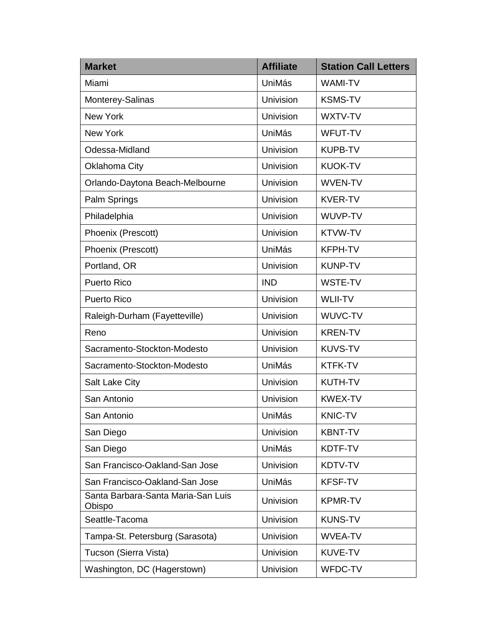| <b>Market</b>                                | <b>Affiliate</b> | <b>Station Call Letters</b> |
|----------------------------------------------|------------------|-----------------------------|
| Miami                                        | UniMás           | <b>WAMI-TV</b>              |
| Monterey-Salinas                             | Univision        | <b>KSMS-TV</b>              |
| <b>New York</b>                              | Univision        | WXTV-TV                     |
| <b>New York</b>                              | UniMás           | <b>WFUT-TV</b>              |
| Odessa-Midland                               | <b>Univision</b> | <b>KUPB-TV</b>              |
| Oklahoma City                                | Univision        | <b>KUOK-TV</b>              |
| Orlando-Daytona Beach-Melbourne              | <b>Univision</b> | <b>WVEN-TV</b>              |
| Palm Springs                                 | Univision        | <b>KVER-TV</b>              |
| Philadelphia                                 | Univision        | WUVP-TV                     |
| Phoenix (Prescott)                           | Univision        | <b>KTVW-TV</b>              |
| Phoenix (Prescott)                           | UniMás           | <b>KFPH-TV</b>              |
| Portland, OR                                 | Univision        | <b>KUNP-TV</b>              |
| <b>Puerto Rico</b>                           | <b>IND</b>       | <b>WSTE-TV</b>              |
| <b>Puerto Rico</b>                           | Univision        | <b>WLII-TV</b>              |
| Raleigh-Durham (Fayetteville)                | Univision        | WUVC-TV                     |
| Reno                                         | Univision        | <b>KREN-TV</b>              |
| Sacramento-Stockton-Modesto                  | <b>Univision</b> | <b>KUVS-TV</b>              |
| Sacramento-Stockton-Modesto                  | UniMás           | <b>KTFK-TV</b>              |
| <b>Salt Lake City</b>                        | Univision        | <b>KUTH-TV</b>              |
| San Antonio                                  | Univision        | <b>KWEX-TV</b>              |
| San Antonio                                  | UniMás           | <b>KNIC-TV</b>              |
| San Diego                                    | Univision        | <b>KBNT-TV</b>              |
| San Diego                                    | <b>UniMás</b>    | KDTF-TV                     |
| San Francisco-Oakland-San Jose               | Univision        | KDTV-TV                     |
| San Francisco-Oakland-San Jose               | UniMás           | <b>KFSF-TV</b>              |
| Santa Barbara-Santa Maria-San Luis<br>Obispo | Univision        | <b>KPMR-TV</b>              |
| Seattle-Tacoma                               | <b>Univision</b> | <b>KUNS-TV</b>              |
| Tampa-St. Petersburg (Sarasota)              | <b>Univision</b> | <b>WVEA-TV</b>              |
| Tucson (Sierra Vista)                        | Univision        | KUVE-TV                     |
| Washington, DC (Hagerstown)                  | Univision        | WFDC-TV                     |